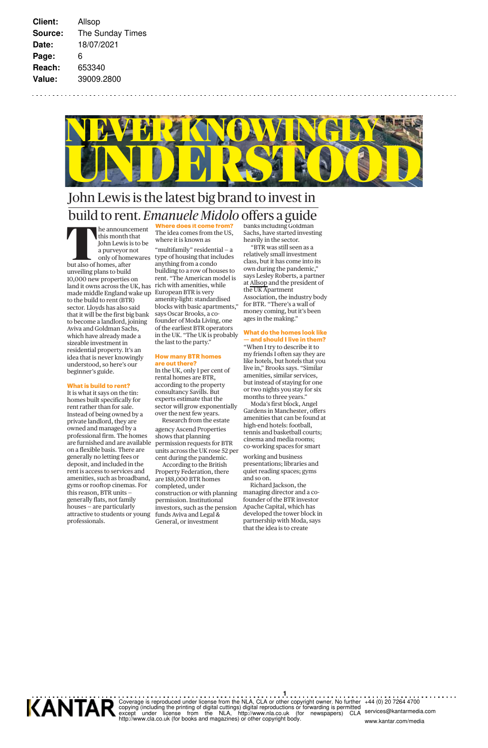

# John Lewis is the latest big brand to invest in **build to rent.** *Emanuele Midolo* offers a guide<br>
this month that<br>
The idea comes from the US,<br>
this month that<br>
John Lewis is to be<br>
a purveyor not<br>
"multifamily" residential – a<br>
"BTR was still seen as a<br>
conly of homew **We does it come from**

he announcement this month that John Lewis is to be a purveyor not only of homewares but also of homes, after unveiling plans to build 10,000 new properties on land it owns across the UK, has made middle England wake up European BTR is very to the build to rent (BTR) sector. Lloyds has also said that it will be the first big bank to become a landlord, joining Aviva and Goldman Sachs, which have already made a sizeable investment in residential property. It's an idea that is never knowingly understood, so here's our beginner's guide.

#### **What is build to rent?**

It is what it says on the tin: homes built specifically for rent rather than for sale. Instead of being owned by a private landlord, they are owned and managed by a professional firm. The homes are furnished and are available on a flexible basis. There are generally no letting fees or deposit, and included in the rent is access to services and amenities, such as broadband, gyms or rooftop cinemas. For this reason, BTR units generally flats, not family houses — are particularly attractive to students or young professionals.

The idea comes from the US, where it is known as "multifamily" residential — a type of housing that includes anything from a condo building to a row of houses to rent. "The American model is rich with amenities, while amenity-light: standardised blocks with basic apartments," says Oscar Brooks, a cofounder of Moda Living, one of the earliest BTR operators in the UK. "The UK is probably the last to the party."

## **How many BTR homes**

**are out there?** In the UK, only 1 per cent of rental homes are BTR, according to the property consultancy Savills. But experts estimate that the sector will grow exponentially over the next few years.

Research from the estate agency Ascend Properties shows that planning permission requests for BTR units across the UK rose 52 per

cent during the pandemic. According to the British Property Federation, there are 188,000 BTR homes completed, under construction or with planning permission. Institutional investors, such as the pension funds Aviva and Legal & General, or investment

banks including Goldman Sachs, have started investing heavily in the sector. "BTR was still seen as a

relatively small investment class, but it has come into its own during the pandemic,' says Lesley Roberts, a partner at Allsop and the president of the UK Apartment Association, the industry body for BTR. "There's a wall of money coming, but it's been ages in the making."

#### **What do the homes look like — and should I live in them?**

"When I try to describe it to my friends I often say they are like hotels, but hotels that you live in," Brooks says. "Similar amenities, similar services, but instead of staying for one or two nights you stay for six months to three years. Moda's first block, Angel

Gardens in Manchester, offers amenities that can be found at high-end hotels: football, tennis and basketball courts; cinema and media rooms; co-working spaces for smart

working and business presentations; libraries and quiet reading spaces; gyms and so on.

Richard Jackson, the managing director and a cofounder of the BTR investor Apache Capital, which has developed the tower block in partnership with Moda, says that the idea is to create



**1** Coverage is reproduced under license from the NLA, CLA or other copyright owner. No further<br>copying (including the printing of digital cuttings) digital reproductions or forwarding is permitted<br>except under license from th

+44 (0) 20 7264 4700 services@kantarmedia.com www.kantar.com/media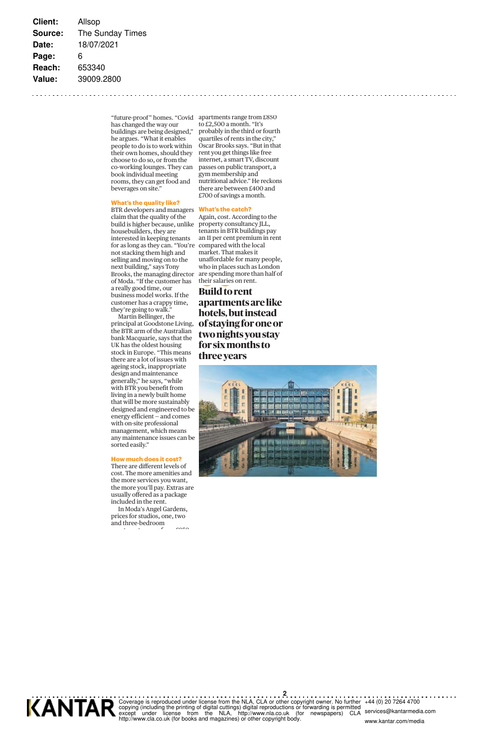**Client:** Allsop **Source:** The Sunday Times **Date:** 18/07/2021 **Page:** 6 **Reach:** 653340 **Value:** 39009.2800

> "future-proof" homes. "Covid apartments range from £850 has changed the way our buildings are being designed," he argues. "What it enables people to do is to work within their own homes, should they choose to do so, or from the co-working lounges. They can book individual meeting rooms, they can get food and beverages on site."

#### **What's the quality like?**

BTR developers and managers claim that the quality of the build is higher because, unlike housebuilders, they are interested in keeping tenants for as long as they can. "You're compared with the local not stacking them high and selling and moving on to the next building," says Tony Brooks, the managing director of Moda. "If the customer has a really good time, our business model works. If the customer has a crappy time, they're going to walk."

Martin Bellinger, the principal at Goodstone Living, the BTR arm of the Australian bank Macquarie, says that the UK has the oldest housing stock in Europe. "This means there are a lot of issues with ageing stock, inappropriate design and maintenance generally," he says, "while with BTR you benefit from living in a newly built home that will be more sustainably designed and engineered to be energy efficient — and comes with on-site professional management, which means any maintenance issues can be sorted easily."

### **How much does it cost?**

There are different levels of cost. The more amenities and the more services you want, the more you'll pay. Extras are usually offered as a package included in the rent.

In Moda's Angel Gardens, prices for studios, one, two and three-bedroom t t f anno

to £2,500 a month. "It's probably in the third or fourth quartiles of rents in the city, Oscar Brooks says. "But in that rent you get things like free internet, a smart TV, discount passes on public transport, a gym membership and nutritional advice." He reckons there are between £400 and £700 of savings a month.

#### **What's the catch?**

Again, cost. According to the property consultancy JLL, tenants in BTR buildings pay an 11 per cent premium in rent market. That makes it unaffordable for many people, who in places such as London are spending more than half of their salaries on rent.

# **Build to rent**

**apartments are like hotels, but instead of staying for one or two nights you stay for six months to three years**





**2** Coverage is reproduced under license from the NLA, CLA or other copyright owner. No further<br>copying (including the printing of digital cuttings) digital reproductions or forwarding is permitted<br>except under license from th

+44 (0) 20 7264 4700 services@kantarmedia.com www.kantar.com/media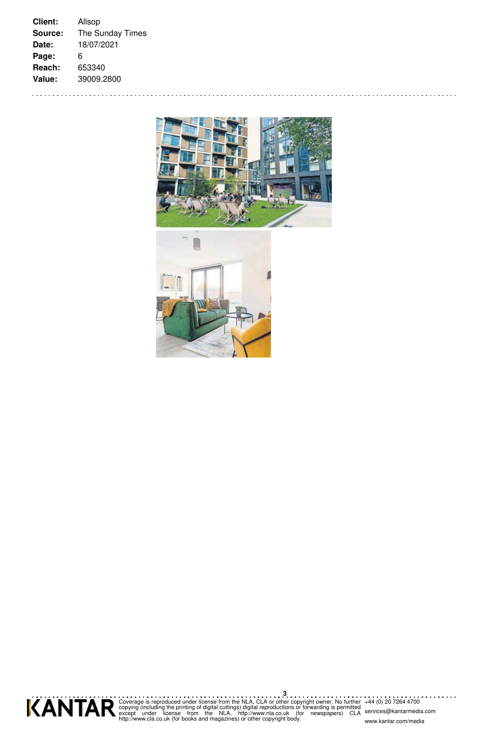**Client:** Allsop **Source:** The Sunday Times **Date:** 18/07/2021 **Page:** 6 **Reach:** 653340 **Value:** 39009.2800

. . . . . . . .

. . . . . . . . . . .





**3** Coverage is reproduced under license from the NLA, CLA or other copyright owner. No further<br>copying (including the printing of digital cuttings) digital reproductions or forwarding is permitted<br>except under license from th

+44 (0) 20 7264 4700 services@kantarmedia.com www.kantar.com/media

. . . . . . .